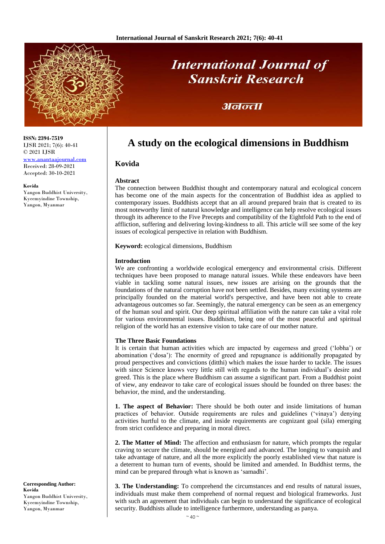

# **International Journal of Sanskrit Research**

# अनन्ता

# **A study on the ecological dimensions in Buddhism**

## **Kovida**

## **Abstract**

The connection between Buddhist thought and contemporary natural and ecological concern has become one of the main aspects for the concentration of Buddhist idea as applied to contemporary issues. Buddhists accept that an all around prepared brain that is created to its most noteworthy limit of natural knowledge and intelligence can help resolve ecological issues through its adherence to the Five Precepts and compatibility of the Eightfold Path to the end of affliction, suffering and delivering loving-kindness to all. This article will see some of the key issues of ecological perspective in relation with Buddhism.

**Keyword:** ecological dimensions, Buddhism

## **Introduction**

We are confronting a worldwide ecological emergency and environmental crisis. Different techniques have been proposed to manage natural issues. While these endeavors have been viable in tackling some natural issues, new issues are arising on the grounds that the foundations of the natural corruption have not been settled. Besides, many existing systems are principally founded on the material world's perspective, and have been not able to create advantageous outcomes so far. Seemingly, the natural emergency can be seen as an emergency of the human soul and spirit. Our deep spiritual affiliation with the nature can take a vital role for various environmental issues. Buddhism, being one of the most peaceful and spiritual religion of the world has an extensive vision to take care of our mother nature.

## **The Three Basic Foundations**

It is certain that human activities which are impacted by eagerness and greed ('lobha') or abomination ('dosa'): The enormity of greed and repugnance is additionally propagated by proud perspectives and convictions (ditthi) which makes the issue harder to tackle. The issues with since Science knows very little still with regards to the human individual's desire and greed. This is the place where Buddhism can assume a significant part. From a Buddhist point of view, any endeavor to take care of ecological issues should be founded on three bases: the behavior, the mind, and the understanding.

**1. The aspect of Behavior:** There should be both outer and inside limitations of human practices of behavior. Outside requirements are rules and guidelines ('vinaya') denying activities hurtful to the climate, and inside requirements are cognizant goal (sila) emerging from strict confidence and preparing in moral direct.

**2. The Matter of Mind:** The affection and enthusiasm for nature, which prompts the regular craving to secure the climate, should be energized and advanced. The longing to vanquish and take advantage of nature, and all the more explicitly the poorly established view that nature is a deterrent to human turn of events, should be limited and amended. In Buddhist terms, the mind can be prepared through what is known as 'samadhi'.

**3. The Understanding:** To comprehend the circumstances and end results of natural issues, individuals must make them comprehend of normal request and biological frameworks. Just with such an agreement that individuals can begin to understand the significance of ecological security. Buddhists allude to intelligence furthermore, understanding as panya.

**ISSN: 2394-7519** IJSR 2021; 7(6): 40-41 © 2021 IJSR

[www.anantaajournal.com](http://www.anantaajournal.com/) Received: 28-09-2021 Accepted: 30-10-2021

**Kovida**

Yangon Buddhist University, Kyeemyindine Township, Yangon, Myanmar

**Corresponding Author: Kovida** Yangon Buddhist University, Kyeemyindine Township, Yangon, Myanmar